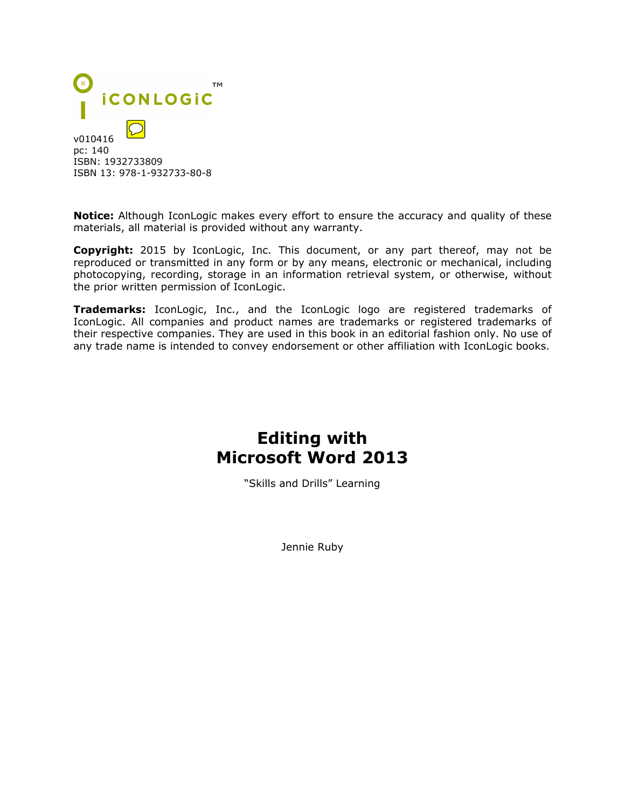

**Notice:** Although IconLogic makes every effort to ensure the accuracy and quality of these materials, all material is provided without any warranty.

**Copyright:** 2015 by IconLogic, Inc. This document, or any part thereof, may not be reproduced or transmitted in any form or by any means, electronic or mechanical, including photocopying, recording, storage in an information retrieval system, or otherwise, without the prior written permission of IconLogic.

**Trademarks:** IconLogic, Inc., and the IconLogic logo are registered trademarks of IconLogic. All companies and product names are trademarks or registered trademarks of their respective companies. They are used in this book in an editorial fashion only. No use of any trade name is intended to convey endorsement or other affiliation with IconLogic books.

## **Editing with Microsoft Word 2013**

"Skills and Drills" Learning

Jennie Ruby